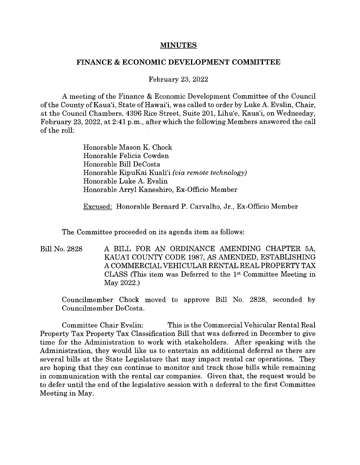## **MINUTES**

## **FINANCE** & **ECONOMIC DEVELOPMENT COMMITTEE**

## February 23, 2022

A meeting of the Finance & Economic Development Committee of the Council of the County of Kaua'i, State of Hawai'i, was called to order by Luke A. Evslin, Chair, at the Council Chambers, 4396 Rice Street, Suite 201, Lihu'e, Kaua'i, on Wednesday, February 23, 2022, at 2:41 p.m., after which the following Members answered the call of the roll:

> Honorable Mason K. Chock Honorable Felicia Cowden Honorable Bill DeCosta Honorable KipuKai Kuali'i *(via remote technology)*  Honorable Luke A. Evslin Honorable Arryl Kaneshiro, Ex-Officio Member

Excused: Honorable Bernard P. Carvalho, Jr., Ex-Officio Member

The Committee proceeded on its agenda item as follows:

Bill No. 2828 A BILL FOR AN ORDINANCE AMENDING CHAPTER 5A, KAUA'! COUNTY CODE 1987, AS AMENDED, ESTABLISHING A COMMERCIAL VEHICULAR RENTAL REAL PROPERTY TAX CLASS (This item was Deferred to the 1st Committee Meeting in May 2022.)

Councilmember Chock moved to approve Bill No. 2828, seconded by Councilmember DeCosta.

Committee Chair Evslin: This is the Commercial Vehicular Rental Real Property Tax Property Tax Classification Bill that was deferred in December to give time for the Administration to work with stakeholders. After speaking with the Administration, they would like us to entertain an additional deferral as there are several bills at the State Legislature that may impact rental car operations. They are hoping that they can continue to monitor and track those bills while remaining in communication with the rental car companies. Given that, the request would be to defer until the end of the legislative session with a deferral to the first Committee Meeting in May.